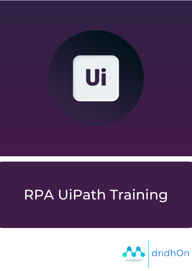

# RPA UiPath Training

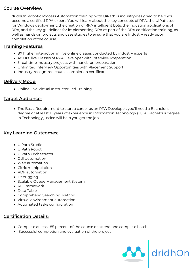# Course Overview:

dridhOn Robotic Process Automation training with UiPath is industry-designed to help you become a certified RPA expert. You will learn about the key concepts of RPA, the UiPath tool for Windows deployment, the creation of RPA intelligent bots, the industrial applications of RPA, and the key guidelines for implementing RPA as part of the RPA certification training, as well as hands-on projects and case studies to ensure that you are Industry ready upon completion of the course.

# **Training Features:**

- 8X higher interaction in live online classes conducted by industry experts
- 48 Hrs. live Classes of RPA Developer with Interview Preparation
- 3 real-time industry projects with hands-on preparation
- Unlimited Interview Opportunities with Placement Support
- Industry-recognized course completion certificate

# Delivery Mode:

Online Live Virtual Instructor Led Training

# Target Audiance:

The Basic Requirement to start a career as an RPA Developer, you'll need a Bachelor's degree or at least 1+ years of experience in Information Technology (IT). A Bachelor's degree in Technology justice will help you get the job.

# Key Learning Outcomes:

- UiPath Studio
- UiPath Robot
- UiPath Orchestrator
- GUI automation
- Web automation
- Citrix manipulation
- PDF automation
- Debugging
- Scalable Queue Management System
- RE Framework
- Data Table
- Comprehend Searching Method
- Virtual environment automation
- Automated tasks configuration

# Certification Details:

- Complete at least 85 percent of the course or attend one complete batch
- Successful completion and evaluation of the project

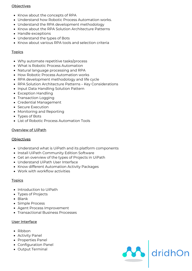#### **Objectives**

- Know about the concepts of RPA
- Understand how Robotic Process Automation works.
- Understand the RPA development methodology
- Know about the RPA Solution Architecture Patterns
- Handle exceptions
- Understand the types of Bots
- Know about various RPA tools and selection criteria

#### **Topics**

- Why automate repetitive tasks/process
- What is Robotic Process Automation
- Natural language processing and RPA
- How Robotic Process Automation works
- RPA development methodology and life cycle
- RPA Solution Architecture Patterns Key Considerations
- Input Data Handling Solution Pattern
- Exception Handling
- Transaction Logging
- Credential Management
- Secure Execution
- Monitoring and Reporting
- Types of Bots
- List of Robotic Process Automation Tools

#### Overview of UiPath

#### **Objectives**

- Understand what is UiPath and its platform components
- Install UiPath Community Edition Software
- Get an overview of the types of Projects in UiPath
- Understand UiPath User Interface
- Know different Automation Activity Packages
- Work with workflow activities

#### **Topics**

- Introduction to UiPath
- Types of Projects
- Blank
- Simple Process
- Agent Process Improvement
- Transactional Business Processes

#### User Interface

- Ribbon
- Activity Panel
- Properties Panel
- Configuration Panel
- Output Terminal

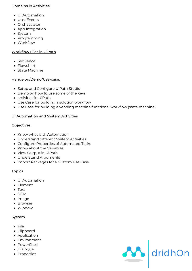#### Domains in Activities

- UI Automation
- User Events
- Orchestrator
- App Integration
- System
- Programming
- Workflow

## Workflow Files in UiPath

- Sequence
- Flowchart
- State Machine

#### Hands-on/Demo/Use-case:

- Setup and Configure UiPath Studio
- Demo on how to use some of the keys
- activities in UiPath
- Use Case for building a solution workflow
- Use Case for building a vending machine functional workflow (state machine)

#### UI Automation and System Activities

#### **Objectives**

- Know what is UI Automation
- Understand different System Activities
- Configure Properties of Automated Tasks
- Know about the Variables
- View Output in UiPath
- Understand Arguments
- Import Packages for a Custom Use Case

## **Topics**

- UI Automation
- Element
- Text
- OCR
- Image
- Browser
- Window

## **System**

- File
- Clipboard
- Application
- Environment
- PowerShell
- Dialogue
- Properties

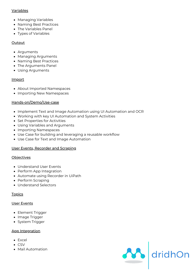## Variables

- Managing Variables
- Naming Best Practices
- The Variables Panel
- Types of Variables

## **Output**

- Arguments
- Managing Arguments
- Naming Best Practices
- The Arguments Panel
- Using Arguments

#### Import

- About Imported Namespaces
- Importing New Namespaces

## Hands-on/Demo/Use-case

- Implement Text and Image Automation using UI Automation and OCR
- Working with key UI Automation and System Activities
- Set Properties for Activities
- Using Variables and Arguments
- Importing Namespaces
- Use Case for building and leveraging a reusable workflow
- Use Case for Text and Image Automation

## User Events, Recorder and Scraping

#### **Objectives**

- Understand User Events
- Perform App Integration
- Automate using Recorder in UiPath
- Perform Scraping
- Understand Selectors

## **Topics**

## User Events

- Element Trigger
- Image Trigger
- System Trigger

## App Integration

- Excel
- CSV
- Mail Automation

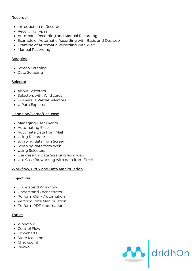## Recorder

- Introduction to Recorder
- Recording Types
- Automatic Recording and Manual Recording
- Example of Automatic Recording with Basic and Desktop
- Example of Automatic Recording with Web
- Manual Recording

## **Scraping**

- Screen Scraping
- Data Scraping

## **Selector**

- About Selectors
- Selectors with Wild cards
- Full versus Partial Selectors
- UiPath Explorer

## Hands-on/Demo/Use-case

- Managing User Events
- Automating Excel
- Automate Data from Mail
- Using Recorder
- Scraping data from Screen
- Scraping data from Web
- Using Selectors
- Use Case for Data Scraping from web
- Use Case for working with data from Excel

A dridhOn

## Workflow, Citrix and Data Manipulation

#### **Objectives**

- Understand Workflow
- Understand Orchestrator
- Perform Citrix Automation
- Perform Data Manipulation
- Perform PDF Automation

#### **Topics**

- Workflow
- Control Flow
- Flowcharts
- State Machine
- Checkpoint
- Invoke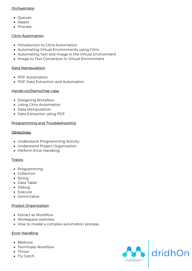## **Orchestrator**

- Queues
- Assets
- Process

## Citrix Automation

- Introduction to Citrix Automation
- Automating Virtual Environments using Citrix
- Automating Text and Image in the Virtual Environment
- Image to Text Conversion in Virtual Environment

## Data Manipulation

- PDF Automation
- PDF Data Extraction and Automation

## Hands-on/Demo/Use-case

- Designing Workflow
- Using Citrix Automation
- Data Manipulation
- Data Extraction using PDF

## Programming and Troubleshooting

#### Objectives

- Understand Programming Activity
- Understand Project Organization
- Perform Error Handling

## **Topics**

- Programming
- Collection
- String
- Data Table
- Debug
- Execute
- GenricValue

## Project Organization

- Extract as Workflow
- Workspace overview
- How to model a complex automation process

## **Error Handling**

- Rethrow
- Terminate Workflow
- Throw
- Try Catch